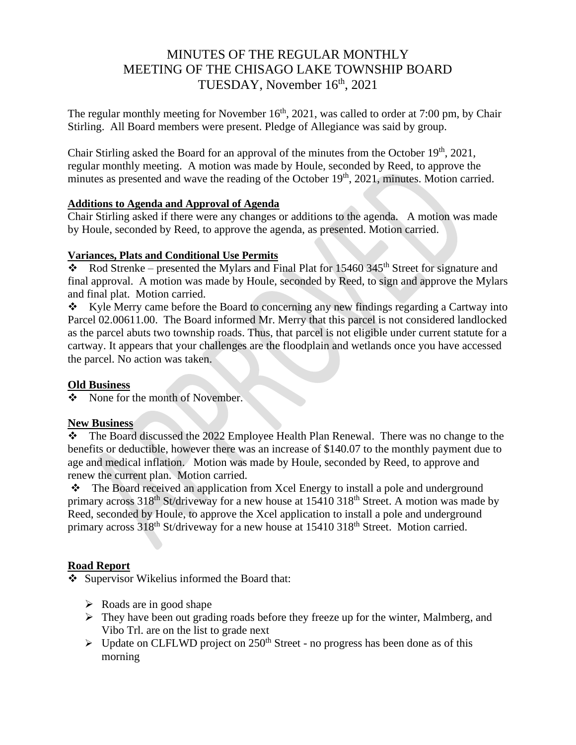# MINUTES OF THE REGULAR MONTHLY MEETING OF THE CHISAGO LAKE TOWNSHIP BOARD TUESDAY, November 16<sup>th</sup>, 2021

The regular monthly meeting for November  $16<sup>th</sup>$ , 2021, was called to order at 7:00 pm, by Chair Stirling. All Board members were present. Pledge of Allegiance was said by group.

Chair Stirling asked the Board for an approval of the minutes from the October  $19<sup>th</sup>$ , 2021, regular monthly meeting. A motion was made by Houle, seconded by Reed, to approve the minutes as presented and wave the reading of the October 19<sup>th</sup>, 2021, minutes. Motion carried.

#### **Additions to Agenda and Approval of Agenda**

Chair Stirling asked if there were any changes or additions to the agenda. A motion was made by Houle, seconded by Reed, to approve the agenda, as presented. Motion carried.

### **Variances, Plats and Conditional Use Permits**

 $\bullet$  Rod Strenke – presented the Mylars and Final Plat for 15460 345<sup>th</sup> Street for signature and final approval. A motion was made by Houle, seconded by Reed, to sign and approve the Mylars and final plat. Motion carried.

❖ Kyle Merry came before the Board to concerning any new findings regarding a Cartway into Parcel 02.00611.00. The Board informed Mr. Merry that this parcel is not considered landlocked as the parcel abuts two township roads. Thus, that parcel is not eligible under current statute for a cartway. It appears that your challenges are the floodplain and wetlands once you have accessed the parcel. No action was taken.

# **Old Business**

❖ None for the month of November.

# **New Business**

❖ The Board discussed the 2022 Employee Health Plan Renewal. There was no change to the benefits or deductible, however there was an increase of \$140.07 to the monthly payment due to age and medical inflation. Motion was made by Houle, seconded by Reed, to approve and renew the current plan. Motion carried.

❖ The Board received an application from Xcel Energy to install a pole and underground primary across  $318<sup>th</sup>$  St/driveway for a new house at  $15410\,318<sup>th</sup>$  Street. A motion was made by Reed, seconded by Houle, to approve the Xcel application to install a pole and underground primary across 318<sup>th</sup> St/driveway for a new house at 15410 318<sup>th</sup> Street. Motion carried.

# **Road Report**

❖ Supervisor Wikelius informed the Board that:

- $\triangleright$  Roads are in good shape
- ➢ They have been out grading roads before they freeze up for the winter, Malmberg, and Vibo Trl. are on the list to grade next
- $\triangleright$  Update on CLFLWD project on 250<sup>th</sup> Street no progress has been done as of this morning